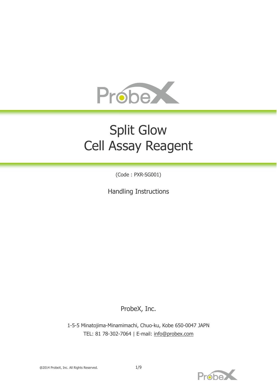

# Split Glow Cell Assay Reagent

(Code : PXR-SG001)

Handling Instructions

ProbeX, Inc.

1-5-5 Minatojima-Minamimachi, Chuo-ku, Kobe 650-0047 JAPN TEL: 81 78-302-7064 | E-mail: [info@probex.com](mailto:info@probex.com)



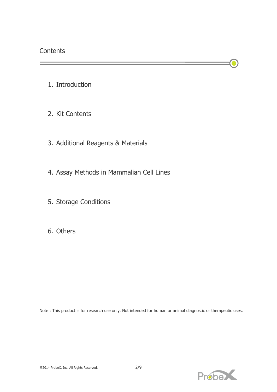- 1. Introduction
- 2. Kit Contents
- 3. Additional Reagents & Materials
- 4. Assay Methods in Mammalian Cell Lines
- 5. Storage Conditions
- 6. Others

Note : This product is for research use only. Not intended for human or animal diagnostic or therapeutic uses.



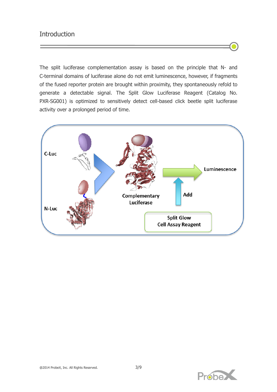## **Introduction**

The split luciferase complementation assay is based on the principle that N- and C-terminal domains of luciferase alone do not emit luminescence, however, if fragments of the fused reporter protein are brought within proximity, they spontaneously refold to generate a detectable signal. The Split Glow Luciferase Reagent (Catalog No. PXR-SG001) is optimized to sensitively detect cell-based click beetle split luciferase activity over a prolonged period of time.



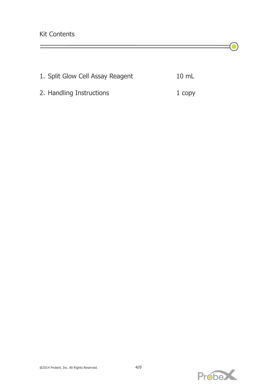|  | 1. Split Glow Cell Assay Reagent | $10 \text{ mL}$ |
|--|----------------------------------|-----------------|
|  |                                  |                 |

2. Handling Instructions 1 copy



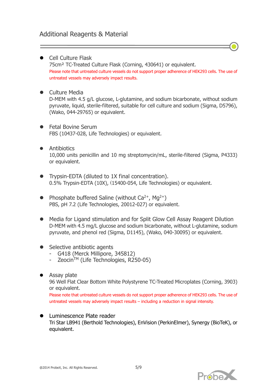- Cell Culture Flask 75cm² TC-Treated Culture Flask (Corning, 430641) or equivalent. Please note that untreated culture vessels do not support proper adherence of HEK293 cells. The use of untreated vessels may adversely impact results.
- **•** Culture Media

D-MEM with 4.5 g/L glucose, L-glutamine, and sodium bicarbonate, without sodium pyruvate, liquid, sterile-filtered, suitable for cell culture and sodium (Sigma, D5796), (Wako, 044-29765) or equivalent.

- **•** Fetal Bovine Serum FBS (10437-028, Life Technologies) or equivalent.
- **•** Antibiotics 10,000 units penicillin and 10 mg streptomycin/mL, sterile-filtered (Sigma, P4333) or equivalent.
- **•** Trypsin-EDTA (diluted to 1X final concentration). 0.5% Trypsin-EDTA (10X), (15400-054, Life Technologies) or equivalent.
- Phosphate buffered Saline (without  $Ca^{2+}$ , Mg<sup>2+</sup>) PBS, pH 7.2 (Life Technologies, 20012-027) or equivalent.
- Media for Ligand stimulation and for Split Glow Cell Assay Reagent Dilution D-MEM with 4.5 mg/L glucose and sodium bicarbonate, without L-glutamine, sodium pyruvate, and phenol red (Sigma, D1145), (Wako, 040-30095) or equivalent.
- Selective antibiotic agents
	- G418 (Merck Millipore, 345812)
	- Zeocin $TM$  (Life Technologies, R250-05)
- Assay plate

96 Well Flat Clear Bottom White Polystyrene TC-Treated Microplates (Corning, 3903) or equivalent.

Please note that untreated culture vessels do not support proper adherence of HEK293 cells. The use of untreated vessels may adversely impact results – including a reduction in signal intensity.

**Luminescence Plate reader** Tri Star LB941 (Berthold Technologies), EnVision (PerkinElmer), Synergy (BioTeK), or equivalent.

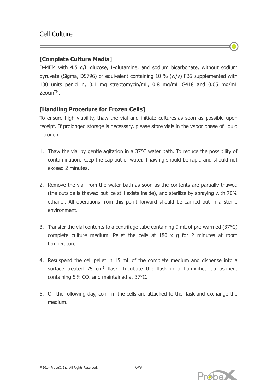### **[Complete Culture Media]**

D-MEM with 4.5 g/L glucose, L-glutamine, and sodium bicarbonate, without sodium pyruvate (Sigma, D5796) or equivalent containing 10 % (w/v) FBS supplemented with 100 units penicillin, 0.1 mg streptomycin/mL, 0.8 mg/mL G418 and 0.05 mg/mL ZeocinTM.

## **[Handling Procedure for Frozen Cells]**

To ensure high viability, thaw the vial and initiate cultures as soon as possible upon receipt. If prolonged storage is necessary, please store vials in the vapor phase of liquid nitrogen.

- 1. Thaw the vial by gentle agitation in a 37°C water bath. To reduce the possibility of contamination, keep the cap out of water. Thawing should be rapid and should not exceed 2 minutes.
- 2. Remove the vial from the water bath as soon as the contents are partially thawed (the outside is thawed but ice still exists inside), and sterilize by spraying with 70% ethanol. All operations from this point forward should be carried out in a sterile environment.
- 3. Transfer the vial contents to a centrifuge tube containing 9 mL of pre-warmed (37°C) complete culture medium. Pellet the cells at 180 x g for 2 minutes at room temperature.
- 4. Resuspend the cell pellet in 15 mL of the complete medium and dispense into a surface treated  $75 \text{ cm}^2$  flask. Incubate the flask in a humidified atmosphere containing 5%  $CO<sub>2</sub>$  and maintained at 37 $°C$ .
- 5. On the following day, confirm the cells are attached to the flask and exchange the medium.



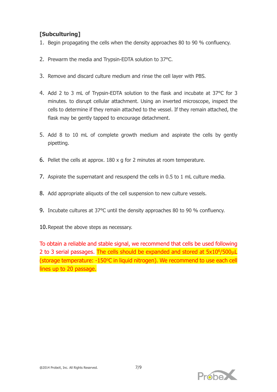## **[Subculturing]**

- 1. Begin propagating the cells when the density approaches 80 to 90 % confluency.
- 2. Prewarm the media and Trypsin-EDTA solution to 37°C.
- 3. Remove and discard culture medium and rinse the cell layer with PBS.
- 4. Add 2 to 3 mL of Trypsin-EDTA solution to the flask and incubate at 37°C for 3 minutes. to disrupt cellular attachment. Using an inverted microscope, inspect the cells to determine if they remain attached to the vessel. If they remain attached, the flask may be gently tapped to encourage detachment.
- 5. Add 8 to 10 mL of complete growth medium and aspirate the cells by gently pipetting.
- 6. Pellet the cells at approx. 180 x g for 2 minutes at room temperature.
- 7. Aspirate the supernatant and resuspend the cells in 0.5 to 1 mL culture media.
- 8. Add appropriate aliquots of the cell suspension to new culture vessels.
- 9. Incubate cultures at 37°C until the density approaches 80 to 90 % confluency.
- 10.Repeat the above steps as necessary.

To obtain a reliable and stable signal, we recommend that cells be used following 2 to 3 serial passages. The cells should be expanded and stored at 5x10<sup>6</sup>/500µL (storage temperature: -150°C in liquid nitrogen). We recommend to use each cell lines up to 20 passage.



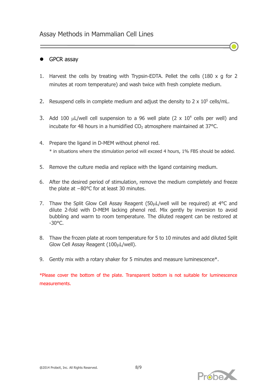#### GPCR assay

- 1. Harvest the cells by treating with Trypsin-EDTA. Pellet the cells (180 x g for 2 minutes at room temperature) and wash twice with fresh complete medium.
- 2. Resuspend cells in complete medium and adjust the density to  $2 \times 10^5$  cells/mL.
- 3. Add 100  $\mu$ L/well cell suspension to a 96 well plate (2 x 10<sup>4</sup> cells per well) and incubate for 48 hours in a humidified  $CO<sub>2</sub>$  atmosphere maintained at 37 $^{\circ}$ C.
- 4. Prepare the ligand in D-MEM without phenol red. \* in situations where the stimulation period will exceed 4 hours, 1% FBS should be added.
- 5. Remove the culture media and replace with the ligand containing medium.
- 6. After the desired period of stimulation, remove the medium completely and freeze the plate at −80°C for at least 30 minutes.
- 7. Thaw the Split Glow Cell Assay Reagent (50µL/well will be required) at 4°C and dilute 2-fold with D-MEM lacking phenol red. Mix gently by inversion to avoid bubbling and warm to room temperature. The diluted reagent can be restored at  $-30^{\circ}$ C.
- 8. Thaw the frozen plate at room temperature for 5 to 10 minutes and add diluted Split Glow Cell Assay Reagent (100µL/well).
- 9. Gently mix with a rotary shaker for 5 minutes and measure luminescence\*.

\*Please cover the bottom of the plate. Transparent bottom is not suitable for luminescence measurements.

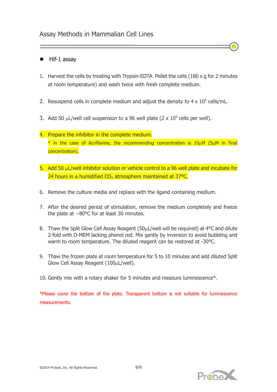## Assay Methods in Mammalian Cell Lines

#### Hif-1 assay

- 1. Harvest the cells by treating with Trypsin-EDTA. Pellet the cells (180 x g for 2 minutes at room temperature) and wash twice with fresh complete medium.
- 2. Resuspend cells in complete medium and adjust the density to  $4 \times 10^5$  cells/mL.
- 3. Add 50  $\mu$ L/well cell suspension to a 96 well plate (2 x 10<sup>4</sup> cells per well).
- 4. Prepare the inhibitor in the complete medium.  $*$  in the case of Acriflavine, the recommending concentration is  $10\mu$ M (5 $\mu$ M in final concentration).
- 5. Add 50 µL/well inhibitor solution or vehicle control to a 96 well plate and incubate for 24 hours in a humidified  $CO<sub>2</sub>$  atmosphere maintained at 37 $^{\circ}$ C.
- 6. Remove the culture media and replace with the ligand containing medium.
- 7. After the desired period of stimulation, remove the medium completely and freeze the plate at −80°C for at least 30 minutes.
- 8. Thaw the Split Glow Cell Assay Reagent (50µL/well will be required) at 4°C and dilute 2-fold with D-MEM lacking phenol red. Mix gently by inversion to avoid bubbling and warm to room temperature. The diluted reagent can be restored at -30°C.
- 9. Thaw the frozen plate at room temperature for 5 to 10 minutes and add diluted Split Glow Cell Assay Reagent (100µL/well).
- 10. Gently mix with a rotary shaker for 5 minutes and measure luminescence\*.

\*Please cover the bottom of the plate. Transparent bottom is not suitable for luminescence measurements.

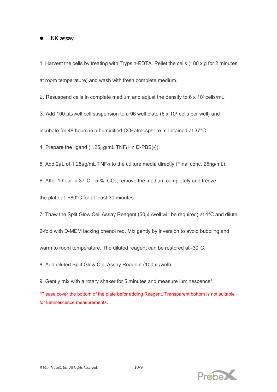#### • IKK assay

1. Harvest the cells by treating with Trypsin-EDTA. Pellet the cells (180 x g for 2 minutes at room temperature) and wash with fresh complete medium.

2. Resuspend cells in complete medium and adjust the density to 6 x 10<sup>5</sup> cells/mL.

3. Add 100  $\mu$ L/well cell suspension to a 96 well plate (6 x 10<sup>4</sup> cells per well) and

incubate for 48 hours in a humidified  $CO<sub>2</sub>$  atmosphere maintained at 37 $^{\circ}$ C.

4. Prepare the ligand (1.25 $\mu$ g/mL TNF $\alpha$  in D-PBS(-)).

5. Add  $2\mu$ L of 1.25 $\mu$ g/mL TNF $\alpha$  to the culture media directly (Final conc. 25ng/mL).

6. After 1 hour in 37°C, 5 %  $CO<sub>2</sub>$ , remove the medium completely and freeze

the plate at −80°C for at least 30 minutes.

7. Thaw the Split Glow Cell Assay Reagent (50µL/well will be required) at 4°C and dilute

2-fold with D-MEM lacking phenol red. Mix gently by inversion to avoid bubbling and

warm to room temperature. The diluted reagent can be restored at -30°C.

8. Add diluted Split Glow Cell Assay Reagent (100µL/well).

9. Gently mix with a rotary shaker for 5 minutes and measure luminescence\*.

\*Please cover the bottom of the plate befor adding Reagent. Transparent bottom is not suitable for luminescence measurements.